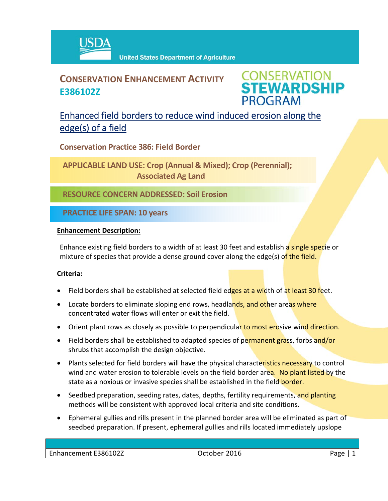

## **CONSERVATION ENHANCEMENT ACTIVITY E386102Z**

**CONSERVATION<br>STEWARDSHIP PROGRAM** 

## Enhanced field borders to reduce wind induced erosion along the edge(s) of a field

**Conservation Practice 386: Field Border**

**APPLICABLE LAND USE: Crop (Annual & Mixed); Crop (Perennial); Associated Ag Land** 

**RESOURCE CONCERN ADDRESSED: Soil Erosion**

**PRACTICE LIFE SPAN: 10 years**

#### **Enhancement Description:**

Enhance existing field borders to a width of at least 30 feet and establish a single specie or mixture of species that provide a dense ground cover along the edge(s) of the field.

### **Criteria:**

- Field borders shall be established at selected field edges at a width of at least 30 feet.
- Locate borders to eliminate sloping end rows, headlands, and other areas where concentrated water flows will enter or exit the field.
- Orient plant rows as closely as possible to perpendicular to most erosive wind direction.
- Field borders shall be established to adapted species of permanent grass, forbs and/or shrubs that accomplish the design objective.
- Plants selected for field borders will have the physical characteristics necessary to control wind and water erosion to tolerable levels on the field border area. No plant listed by the state as a noxious or invasive species shall be established in the field **border.**
- Seedbed preparation, seeding rates, dates, depths, fertility requirements, and planting methods will be consistent with approved local criteria and site conditions.
- Ephemeral gullies and rills present in the planned border area will be eliminated as part of seedbed preparation. If present, ephemeral gullies and rills located immediately upslope

| Enhancement E386102Z | 2016<br>October | Page |
|----------------------|-----------------|------|
|                      |                 |      |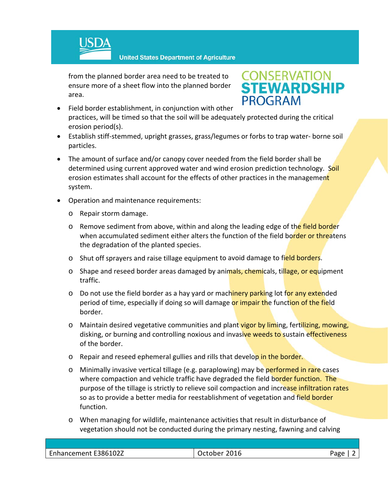

**United States Department of Agriculture** 

from the planned border area need to be treated to ensure more of a sheet flow into the planned border area.

# **CONSERVATION<br>STEWARDSHIP PROGRAM**

- Field border establishment, in conjunction with other practices, will be timed so that the soil will be adequately protected during the critical erosion period(s).
- Establish stiff‐stemmed, upright grasses, grass/legumes or forbs to trap water‐ borne soil particles.
- The amount of surface and/or canopy cover needed from the field border shall be determined using current approved water and wind erosion prediction technology. Soil erosion estimates shall account for the effects of other practices in the management system.
- Operation and maintenance requirements:
	- o Repair storm damage.
	- o Remove sediment from above, within and along the leading edge of the field border when accumulated sediment either alters the function of the field border or threatens the degradation of the planted species.
	- o Shut off sprayers and raise tillage equipment to avoid damage to field borders.
	- o Shape and reseed border areas damaged by animals, chemicals, tillage, or equipment traffic.
	- o Do not use the field border as a hay yard or machinery parking lot for any extended period of time, especially if doing so will damage or impair the function of the field border.
	- o Maintain desired vegetative communities and plant vigor by liming, fertilizing, mowing, disking, or burning and controlling noxious and invasive weeds to sustain effectiveness of the border.
	- o Repair and reseed ephemeral gullies and rills that develop in the border.
	- o Minimally invasive vertical tillage (e.g. paraplowing) may be performed in rare cases where compaction and vehicle traffic have degraded the field border function. The purpose of the tillage is strictly to relieve soil compaction and increase infiltration rates so as to provide a better media for reestablishment of vegetation and field border function.
	- o When managing for wildlife, maintenance activities that result in disturbance of vegetation should not be conducted during the primary nesting, fawning and calving

| Enhancement E386102Z | October 2016 | Page |
|----------------------|--------------|------|
|                      |              |      |